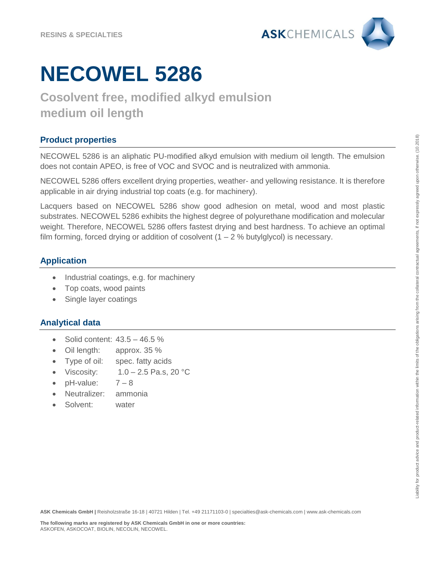

# **NECOWEL 5286**

# **Cosolvent free, modified alkyd emulsion medium oil length**

# **Product properties**

NECOWEL 5286 is an aliphatic PU-modified alkyd emulsion with medium oil length. The emulsion does not contain APEO, is free of VOC and SVOC and is neutralized with ammonia.

NECOWEL 5286 offers excellent drying properties, weather- and yellowing resistance. It is therefore applicable in air drying industrial top coats (e.g. for machinery).

Lacquers based on NECOWEL 5286 show good adhesion on metal, wood and most plastic substrates. NECOWEL 5286 exhibits the highest degree of polyurethane modification and molecular weight. Therefore, NECOWEL 5286 offers fastest drying and best hardness. To achieve an optimal film forming, forced drying or addition of cosolvent  $(1 – 2 %$  butylglycol) is necessary.

## **Application**

- Industrial coatings, e.g. for machinery
- Top coats, wood paints
- Single layer coatings

### **Analytical data**

- Solid content: 43.5 46.5 %
- Oil length: approx. 35 %
- Type of oil: spec. fatty acids
- Viscosity:  $1.0 2.5$  Pa.s, 20 °C
- $pH$ -value:  $7-8$
- Neutralizer: ammonia
- Solvent: water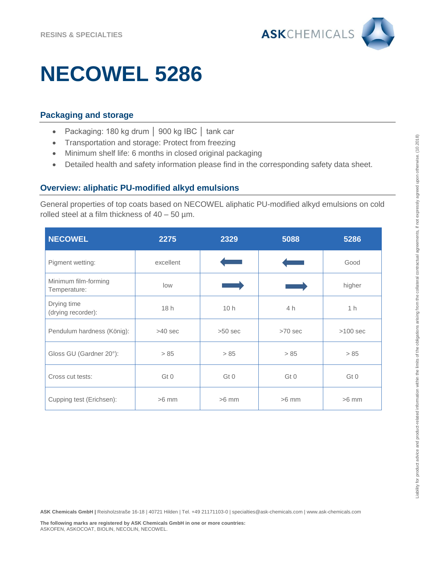

# **NECOWEL 5286**

### **Packaging and storage**

- Packaging: 180 kg drum │ 900 kg IBC │ tank car
- Transportation and storage: Protect from freezing
- Minimum shelf life: 6 months in closed original packaging
- Detailed health and safety information please find in the corresponding safety data sheet.

#### **Overview: aliphatic PU-modified alkyd emulsions**

General properties of top coats based on NECOWEL aliphatic PU-modified alkyd emulsions on cold rolled steel at a film thickness of  $40 - 50$  µm.

| <b>NECOWEL</b>                       | 2275      | 2329      | 5088      | 5286           |
|--------------------------------------|-----------|-----------|-----------|----------------|
| Pigment wetting:                     | excellent |           |           | Good           |
| Minimum film-forming<br>Temperature: | low       |           |           | higher         |
| Drying time<br>(drying recorder):    | 18h       | 10h       | 4h        | 1 <sub>h</sub> |
| Pendulum hardness (König):           | $>40$ sec | $>50$ sec | $>70$ sec | $>100$ sec     |
| Gloss GU (Gardner 20°):              | > 85      | > 85      | > 85      | > 85           |
| Cross cut tests:                     | Gt 0      | Gt 0      | Gt 0      | Gt 0           |
| Cupping test (Erichsen):             | $>6$ mm   | $>6$ mm   | $>6$ mm   | $>6$ mm        |

**ASK Chemicals GmbH |** Reisholzstraße 16-18 | 40721 Hilden | Tel. +49 21171103-0 | specialties@ask-chemicals.com | www.ask-chemicals.com